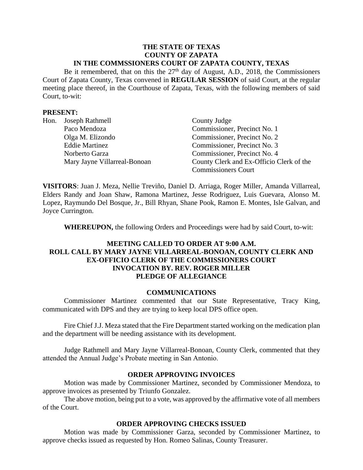#### **THE STATE OF TEXAS COUNTY OF ZAPATA IN THE COMMSSIONERS COURT OF ZAPATA COUNTY, TEXAS**

Be it remembered, that on this the 27<sup>th</sup> day of August, A.D., 2018, the Commissioners Court of Zapata County, Texas convened in **REGULAR SESSION** of said Court, at the regular meeting place thereof, in the Courthouse of Zapata, Texas, with the following members of said Court, to-wit:

### **PRESENT:**

| Hon. | Joseph Rathmell              | County Judge                             |
|------|------------------------------|------------------------------------------|
|      | Paco Mendoza                 | Commissioner, Precinct No. 1             |
|      | Olga M. Elizondo             | Commissioner, Precinct No. 2             |
|      | <b>Eddie Martinez</b>        | Commissioner, Precinct No. 3             |
|      | Norberto Garza               | Commissioner, Precinct No. 4             |
|      | Mary Jayne Villarreal-Bonoan | County Clerk and Ex-Officio Clerk of the |
|      |                              | <b>Commissioners Court</b>               |

**VISITORS**: Juan J. Meza, Nellie Treviño, Daniel D. Arriaga, Roger Miller, Amanda Villarreal, Elders Randy and Joan Shaw, Ramona Martinez, Jesse Rodriguez, Luis Guevara, Alonso M. Lopez, Raymundo Del Bosque, Jr., Bill Rhyan, Shane Pook, Ramon E. Montes, Isle Galvan, and Joyce Currington.

**WHEREUPON,** the following Orders and Proceedings were had by said Court, to-wit:

### **MEETING CALLED TO ORDER AT 9:00 A.M. ROLL CALL BY MARY JAYNE VILLARREAL-BONOAN, COUNTY CLERK AND EX-OFFICIO CLERK OF THE COMMISSIONERS COURT INVOCATION BY. REV. ROGER MILLER PLEDGE OF ALLEGIANCE**

### **COMMUNICATIONS**

Commissioner Martinez commented that our State Representative, Tracy King, communicated with DPS and they are trying to keep local DPS office open.

Fire Chief J.J. Meza stated that the Fire Department started working on the medication plan and the department will be needing assistance with its development.

Judge Rathmell and Mary Jayne Villarreal-Bonoan, County Clerk, commented that they attended the Annual Judge's Probate meeting in San Antonio.

### **ORDER APPROVING INVOICES**

Motion was made by Commissioner Martinez, seconded by Commissioner Mendoza, to approve invoices as presented by Triunfo Gonzalez.

The above motion, being put to a vote, was approved by the affirmative vote of all members of the Court.

### **ORDER APPROVING CHECKS ISSUED**

Motion was made by Commissioner Garza, seconded by Commissioner Martinez, to approve checks issued as requested by Hon. Romeo Salinas, County Treasurer.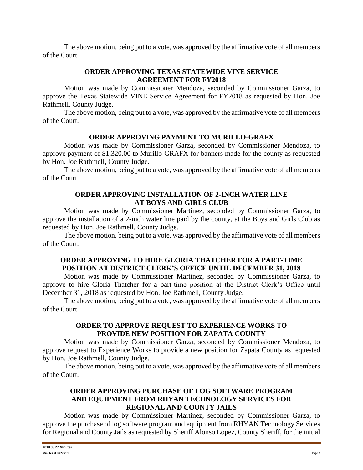The above motion, being put to a vote, was approved by the affirmative vote of all members of the Court.

# **ORDER APPROVING TEXAS STATEWIDE VINE SERVICE AGREEMENT FOR FY2018**

Motion was made by Commissioner Mendoza, seconded by Commissioner Garza, to approve the Texas Statewide VINE Service Agreement for FY2018 as requested by Hon. Joe Rathmell, County Judge.

The above motion, being put to a vote, was approved by the affirmative vote of all members of the Court.

# **ORDER APPROVING PAYMENT TO MURILLO-GRAFX**

Motion was made by Commissioner Garza, seconded by Commissioner Mendoza, to approve payment of \$1,320.00 to Murillo-GRAFX for banners made for the county as requested by Hon. Joe Rathmell, County Judge.

The above motion, being put to a vote, was approved by the affirmative vote of all members of the Court.

# **ORDER APPROVING INSTALLATION OF 2-INCH WATER LINE AT BOYS AND GIRLS CLUB**

Motion was made by Commissioner Martinez, seconded by Commissioner Garza, to approve the installation of a 2-inch water line paid by the county, at the Boys and Girls Club as requested by Hon. Joe Rathmell, County Judge.

The above motion, being put to a vote, was approved by the affirmative vote of all members of the Court.

# **ORDER APPROVING TO HIRE GLORIA THATCHER FOR A PART-TIME POSITION AT DISTRICT CLERK'S OFFICE UNTIL DECEMBER 31, 2018**

Motion was made by Commissioner Martinez, seconded by Commissioner Garza, to approve to hire Gloria Thatcher for a part-time position at the District Clerk's Office until December 31, 2018 as requested by Hon. Joe Rathmell, County Judge.

The above motion, being put to a vote, was approved by the affirmative vote of all members of the Court.

### **ORDER TO APPROVE REQUEST TO EXPERIENCE WORKS TO PROVIDE NEW POSITION FOR ZAPATA COUNTY**

Motion was made by Commissioner Garza, seconded by Commissioner Mendoza, to approve request to Experience Works to provide a new position for Zapata County as requested by Hon. Joe Rathmell, County Judge.

The above motion, being put to a vote, was approved by the affirmative vote of all members of the Court.

# **ORDER APPROVING PURCHASE OF LOG SOFTWARE PROGRAM AND EQUIPMENT FROM RHYAN TECHNOLOGY SERVICES FOR REGIONAL AND COUNTY JAILS**

Motion was made by Commissioner Martinez, seconded by Commissioner Garza, to approve the purchase of log software program and equipment from RHYAN Technology Services for Regional and County Jails as requested by Sheriff Alonso Lopez, County Sheriff, for the initial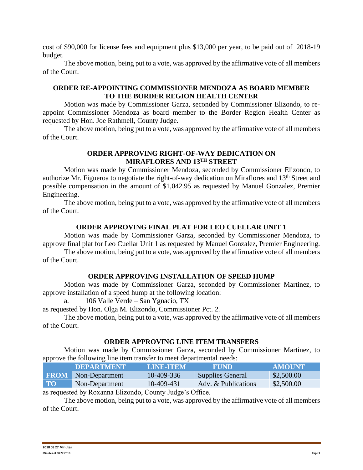cost of \$90,000 for license fees and equipment plus \$13,000 per year, to be paid out of 2018-19 budget.

The above motion, being put to a vote, was approved by the affirmative vote of all members of the Court.

### **ORDER RE-APPOINTING COMMISSIONER MENDOZA AS BOARD MEMBER TO THE BORDER REGION HEALTH CENTER**

Motion was made by Commissioner Garza, seconded by Commissioner Elizondo, to reappoint Commissioner Mendoza as board member to the Border Region Health Center as requested by Hon. Joe Rathmell, County Judge.

The above motion, being put to a vote, was approved by the affirmative vote of all members of the Court.

### **ORDER APPROVING RIGHT-OF-WAY DEDICATION ON MIRAFLORES AND 13TH STREET**

Motion was made by Commissioner Mendoza, seconded by Commissioner Elizondo, to authorize Mr. Figueroa to negotiate the right-of-way dedication on Miraflores and 13<sup>th</sup> Street and possible compensation in the amount of \$1,042.95 as requested by Manuel Gonzalez, Premier Engineering.

The above motion, being put to a vote, was approved by the affirmative vote of all members of the Court.

### **ORDER APPROVING FINAL PLAT FOR LEO CUELLAR UNIT 1**

Motion was made by Commissioner Garza, seconded by Commissioner Mendoza, to approve final plat for Leo Cuellar Unit 1 as requested by Manuel Gonzalez, Premier Engineering.

The above motion, being put to a vote, was approved by the affirmative vote of all members of the Court.

### **ORDER APPROVING INSTALLATION OF SPEED HUMP**

Motion was made by Commissioner Garza, seconded by Commissioner Martinez, to approve installation of a speed hump at the following location:

a. 106 Valle Verde – San Ygnacio, TX

as requested by Hon. Olga M. Elizondo, Commissioner Pct. 2.

The above motion, being put to a vote, was approved by the affirmative vote of all members of the Court.

### **ORDER APPROVING LINE ITEM TRANSFERS**

Motion was made by Commissioner Garza, seconded by Commissioner Martinez, to approve the following line item transfer to meet departmental needs:

|           | <b>DEPARTMENT</b>          | LINE-ITEM                           | <b>FUND</b>             | <b>AMOUNT</b> |
|-----------|----------------------------|-------------------------------------|-------------------------|---------------|
|           | <b>FROM</b> Non-Department | $10-409-336$                        | <b>Supplies General</b> | \$2,500.00    |
| <b>TO</b> | Non-Department             | 10-409-431                          | Adv. & Publications     | \$2,500.00    |
|           | $\Gamma$<br>$\cdot$ 11 m   | $1 \cap$ $1 \cap$ $1 \cap$ $0 \cap$ |                         |               |

as requested by Roxanna Elizondo, County Judge's Office.

The above motion, being put to a vote, was approved by the affirmative vote of all members of the Court.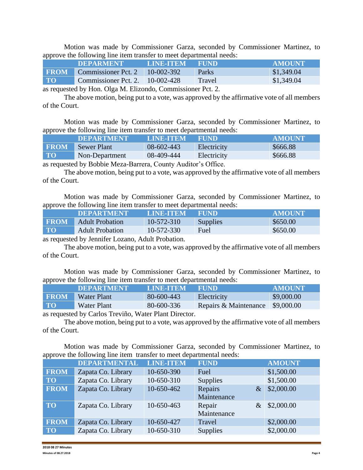Motion was made by Commissioner Garza, seconded by Commissioner Martinez, to approve the following line item transfer to meet departmental needs:

|                                                                                 |             | <b>DEPARMENT</b>    | LINE-ITEM    | <b>FUND</b> | <b>AMOUNT</b> |
|---------------------------------------------------------------------------------|-------------|---------------------|--------------|-------------|---------------|
|                                                                                 | <b>FROM</b> | Commissioner Pct. 2 | $10-002-392$ | Parks       | \$1,349.04    |
| TO <sub>1</sub><br>\$1,349.04<br>Commissioner Pct. 2.<br>$10-002-428$<br>Travel |             |                     |              |             |               |

as requested by Hon. Olga M. Elizondo, Commissioner Pct. 2.

The above motion, being put to a vote, was approved by the affirmative vote of all members of the Court.

Motion was made by Commissioner Garza, seconded by Commissioner Martinez, to approve the following line item transfer to meet departmental needs:

|             | <b>IDEPARTMENT</b> | <b>LINE-ITEM</b> | <b>FUND</b> | <b>AMOUNT</b> |
|-------------|--------------------|------------------|-------------|---------------|
| <b>FROM</b> | Sewer Plant        | 08-602-443       | Electricity | \$666.88      |
| <b>TO</b>   | Non-Department     | 08-409-444       | Electricity | \$666.88      |

as requested by Bobbie Meza-Barrera, County Auditor's Office.

The above motion, being put to a vote, was approved by the affirmative vote of all members of the Court.

Motion was made by Commissioner Garza, seconded by Commissioner Martinez, to approve the following line item transfer to meet departmental needs:

|             | <b>DEPARTMENT</b>      | LINE-ITEM  | <b>FUND</b>     | <b>AMOUNT</b> |
|-------------|------------------------|------------|-----------------|---------------|
| <b>FROM</b> | <b>Adult Probation</b> | 10-572-310 | <b>Supplies</b> | \$650.00      |
| <b>TO</b>   | <b>Adult Probation</b> | 10-572-330 | Fuel            | \$650.00      |

as requested by Jennifer Lozano, Adult Probation.

The above motion, being put to a vote, was approved by the affirmative vote of all members of the Court.

Motion was made by Commissioner Garza, seconded by Commissioner Martinez, to approve the following line item transfer to meet departmental needs:

|             | <b>DEPARTMENT</b> | LINE-ITEM  | <b>FUND</b>                      | <b>AMOUNT</b> |
|-------------|-------------------|------------|----------------------------------|---------------|
| <b>FROM</b> | Water Plant       | 80-600-443 | Electricity                      | \$9,000.00    |
| <b>TO</b>   | Water Plant       | 80-600-336 | Repairs & Maintenance \$9,000.00 |               |
|             |                   |            |                                  |               |

as requested by Carlos Treviño, Water Plant Director.

The above motion, being put to a vote, was approved by the affirmative vote of all members of the Court.

Motion was made by Commissioner Garza, seconded by Commissioner Martinez, to approve the following line item transfer to meet departmental needs:

|             | <b>DEPARTMENTAL</b> | <b>LINE-TTEM</b> | <b>FUND</b>            | <b>AMOUNT</b>      |
|-------------|---------------------|------------------|------------------------|--------------------|
| <b>FROM</b> | Zapata Co. Library  | 10-650-390       | Fuel                   | \$1,500.00         |
| <b>TO</b>   | Zapata Co. Library  | 10-650-310       | <b>Supplies</b>        | \$1,500.00         |
| <b>FROM</b> | Zapata Co. Library  | 10-650-462       | Repairs<br>Maintenance | \$2,000.00<br>$\&$ |
| <b>TO</b>   | Zapata Co. Library  | 10-650-463       | Repair<br>Maintenance  | \$2,000.00<br>&    |
| <b>FROM</b> | Zapata Co. Library  | 10-650-427       | Travel                 | \$2,000.00         |
| <b>TO</b>   | Zapata Co. Library  | 10-650-310       | <b>Supplies</b>        | \$2,000.00         |